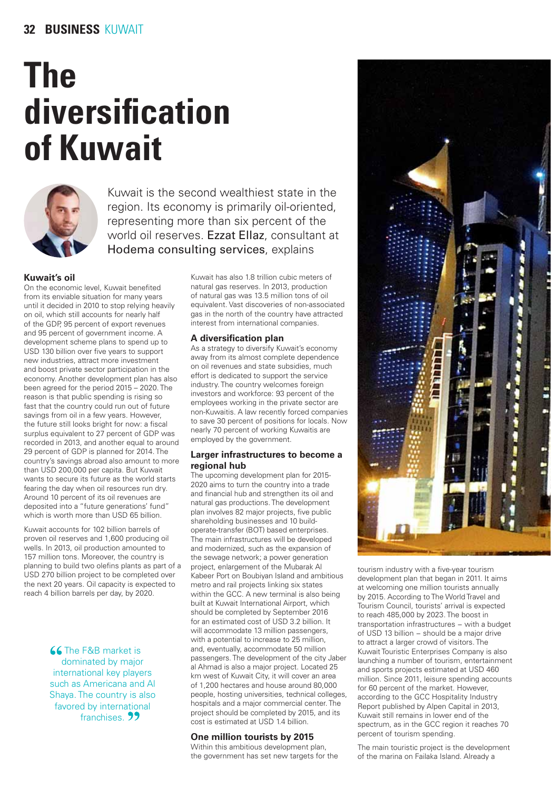# **The** diversification of Kuwait



Kuwait is the second wealthiest state in the region. Its economy is primarily oil-oriented. representing more than six percent of the world oil reserves. Ezzat Ellaz, consultant at Hodema consulting services, explains

## Kuwait's oil

On the economic level. Kuwait benefited from its enviable situation for many years until it decided in 2010 to stop relying heavily on oil, which still accounts for nearly half of the GDP, 95 percent of export revenues and 95 percent of government income. A development scheme plans to spend up to USD 130 billion over five years to support new industries, attract more investment and boost private sector participation in the economy. Another development plan has also been agreed for the period 2015 - 2020. The reason is that public spending is rising so fast that the country could run out of future savings from oil in a few years. However, the future still looks bright for now: a fiscal surplus equivalent to 27 percent of GDP was recorded in 2013, and another equal to around 29 percent of GDP is planned for 2014. The country's savings abroad also amount to more than USD 200,000 per capita. But Kuwait wants to secure its future as the world starts fearing the day when oil resources run dry. Around 10 percent of its oil revenues are deposited into a "future generations' fund" which is worth more than USD 65 billion.

Kuwait accounts for 102 billion barrels of proven oil reserves and 1,600 producing oil wells. In 2013, oil production amounted to 157 million tons. Moreover, the country is planning to build two olefins plants as part of a USD 270 billion project to be completed over the next 20 years. Oil capacity is expected to reach 4 billion barrels per day, by 2020.

> **66** The F&B market is dominated by major international key players such as Americana and Al Shaya. The country is also favored by international franchises. 99

Kuwait has also 1.8 trillion cubic meters of natural gas reserves. In 2013, production of natural gas was 13.5 million tons of oil equivalent. Vast discoveries of non-associated gas in the north of the country have attracted interest from international companies.

# A diversification plan

As a strategy to diversify Kuwait's economy away from its almost complete dependence on oil revenues and state subsidies, much effort is dedicated to support the service industry. The country welcomes foreign investors and workforce: 93 percent of the employees working in the private sector are non-Kuwaitis. A law recently forced companies to save 30 percent of positions for locals. Now nearly 70 percent of working Kuwaitis are employed by the government.

## Larger infrastructures to become a regional hub

The upcoming development plan for 2015-2020 aims to turn the country into a trade and financial hub and strengthen its oil and natural gas productions. The development plan involves 82 major projects, five public shareholding businesses and 10 buildoperate-transfer (BOT) based enterprises. The main infrastructures will be developed and modernized, such as the expansion of the sewage network; a power generation project, enlargement of the Mubarak Al Kabeer Port on Boubiyan Island and ambitious metro and rail projects linking six states within the GCC. A new terminal is also being built at Kuwait International Airport, which should be completed by September 2016 for an estimated cost of USD 3.2 billion. It will accommodate 13 million passengers. with a potential to increase to 25 million, and, eventually, accommodate 50 million passengers. The development of the city Jaber al Ahmad is also a major project. Located 25 km west of Kuwait City, it will cover an area of 1,200 hectares and house around 80,000 people, hosting universities, technical colleges, hospitals and a major commercial center. The project should be completed by 2015, and its cost is estimated at USD 1.4 billion.

### One million tourists by 2015

Within this ambitious development plan, the government has set new targets for the



tourism industry with a five-year tourism development plan that began in 2011. It aims at welcoming one million tourists annually by 2015. According to The World Travel and Tourism Council, tourists' arrival is expected to reach 485,000 by 2023. The boost in transportation infrastructures - with a budget of USD 13 billion - should be a major drive to attract a larger crowd of visitors. The Kuwait Touristic Enterprises Company is also launching a number of tourism, entertainment and sports projects estimated at USD 460 million. Since 2011, leisure spending accounts for 60 percent of the market. However, according to the GCC Hospitality Industry Report published by Alpen Capital in 2013, Kuwait still remains in lower end of the spectrum, as in the GCC region it reaches 70 percent of tourism spending.

The main touristic project is the development of the marina on Failaka Island. Already a